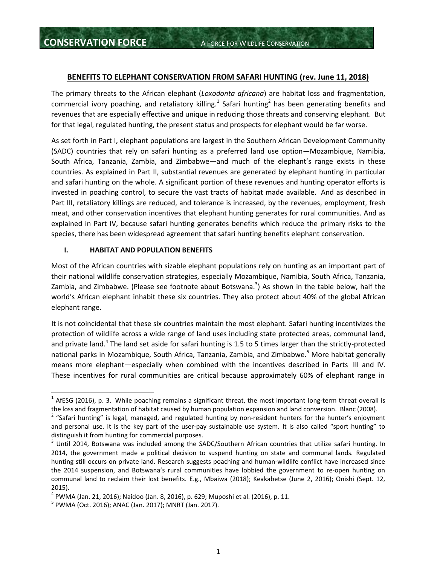#### **BENEFITS TO ELEPHANT CONSERVATION FROM SAFARI HUNTING (rev. June 11, 2018)**

The primary threats to the African elephant (*Loxodonta africana*) are habitat loss and fragmentation, commercial ivory poaching, and retaliatory killing.<sup>1</sup> Safari hunting<sup>2</sup> has been generating benefits and revenues that are especially effective and unique in reducing those threats and conserving elephant. But for that legal, regulated hunting, the present status and prospects for elephant would be far worse.

As set forth in Part I, elephant populations are largest in the Southern African Development Community (SADC) countries that rely on safari hunting as a preferred land use option—Mozambique, Namibia, South Africa, Tanzania, Zambia, and Zimbabwe—and much of the elephant's range exists in these countries. As explained in Part II, substantial revenues are generated by elephant hunting in particular and safari hunting on the whole. A significant portion of these revenues and hunting operator efforts is invested in poaching control, to secure the vast tracts of habitat made available. And as described in Part III, retaliatory killings are reduced, and tolerance is increased, by the revenues, employment, fresh meat, and other conservation incentives that elephant hunting generates for rural communities. And as explained in Part IV, because safari hunting generates benefits which reduce the primary risks to the species, there has been widespread agreement that safari hunting benefits elephant conservation.

#### **I. HABITAT AND POPULATION BENEFITS**

Most of the African countries with sizable elephant populations rely on hunting as an important part of their national wildlife conservation strategies, especially Mozambique, Namibia, South Africa, Tanzania, Zambia, and Zimbabwe. (Please see footnote about Botswana.<sup>3</sup>) As shown in the table below, half the world's African elephant inhabit these six countries. They also protect about 40% of the global African elephant range.

It is not coincidental that these six countries maintain the most elephant. Safari hunting incentivizes the protection of wildlife across a wide range of land uses including state protected areas, communal land, and private land.<sup>4</sup> The land set aside for safari hunting is 1.5 to 5 times larger than the strictly-protected national parks in Mozambique, South Africa, Tanzania, Zambia, and Zimbabwe.<sup>5</sup> More habitat generally means more elephant—especially when combined with the incentives described in Parts III and IV. These incentives for rural communities are critical because approximately 60% of elephant range in

 $^1$  AfESG (2016), p. 3. While poaching remains a significant threat, the most important long-term threat overall is the loss and fragmentation of habitat caused by human population expansion and land conversion. Blanc (2008).

<sup>&</sup>lt;sup>2</sup> "Safari hunting" is legal, managed, and regulated hunting by non-resident hunters for the hunter's enjoyment and personal use. It is the key part of the user-pay sustainable use system. It is also called "sport hunting" to distinguish it from hunting for commercial purposes.

 $3$  Until 2014, Botswana was included among the SADC/Southern African countries that utilize safari hunting. In 2014, the government made a political decision to suspend hunting on state and communal lands. Regulated hunting still occurs on private land. Research suggests poaching and human-wildlife conflict have increased since the 2014 suspension, and Botswana's rural communities have lobbied the government to re‐open hunting on communal land to reclaim their lost benefits. E.g., Mbaiwa (2018); Keakabetse (June 2, 2016); Onishi (Sept. 12, 2015).

<sup>4</sup> PWMA (Jan. 21, 2016); Naidoo (Jan. 8, 2016), p. 629; Muposhi et al. (2016), p. 11.

<sup>&</sup>lt;sup>5</sup> PWMA (Oct. 2016); ANAC (Jan. 2017); MNRT (Jan. 2017).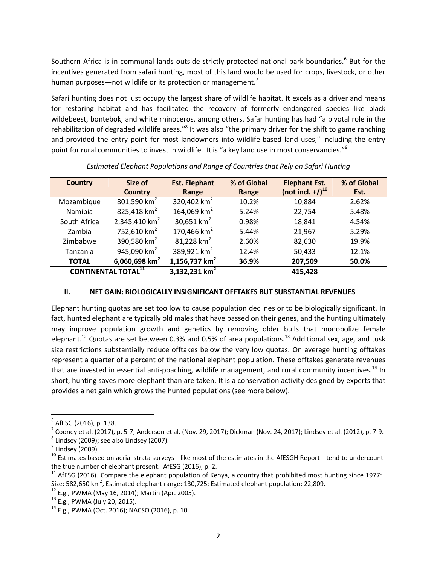Southern Africa is in communal lands outside strictly-protected national park boundaries.<sup>6</sup> But for the incentives generated from safari hunting, most of this land would be used for crops, livestock, or other human purposes—not wildlife or its protection or management.<sup>7</sup>

Safari hunting does not just occupy the largest share of wildlife habitat. It excels as a driver and means for restoring habitat and has facilitated the recovery of formerly endangered species like black wildebeest, bontebok, and white rhinoceros, among others. Safar hunting has had "a pivotal role in the rehabilitation of degraded wildlife areas."<sup>8</sup> It was also "the primary driver for the shift to game ranching and provided the entry point for most landowners into wildlife-based land uses," including the entry point for rural communities to invest in wildlife. It is "a key land use in most conservancies."<sup>9</sup>

| <b>Country</b>             | Size of<br><b>Country</b> | <b>Est. Elephant</b><br>Range | % of Global<br>Range | <b>Elephant Est.</b><br>(not incl. +/) <sup>10</sup> | % of Global<br>Est. |
|----------------------------|---------------------------|-------------------------------|----------------------|------------------------------------------------------|---------------------|
| Mozambique                 | 801,590 $km^2$            | 320,402 $km^2$                | 10.2%                | 10,884                                               | 2.62%               |
| Namibia                    | 825,418 $km2$             | 164,069 km <sup>2</sup>       | 5.24%                | 22,754                                               | 5.48%               |
| South Africa               | 2,345,410 km <sup>2</sup> | 30,651 $km^2$                 | 0.98%                | 18,841                                               | 4.54%               |
| Zambia                     | 752,610 $km^2$            | 170,466 $km2$                 | 5.44%                | 21,967                                               | 5.29%               |
| Zimbabwe                   | 390,580 $km2$             | 81,228 $km^2$                 | 2.60%                | 82,630                                               | 19.9%               |
| Tanzania                   | 945,090 $km^2$            | 389,921 $km^2$                | 12.4%                | 50,433                                               | 12.1%               |
| <b>TOTAL</b>               | 6,060,698 $km^2$          | $1,156,737$ km <sup>2</sup>   | 36.9%                | 207,509                                              | 50.0%               |
| <b>CONTINENTAL TOTAL11</b> |                           | 3,132,231 $km2$               |                      | 415,428                                              |                     |

*Estimated Elephant Populations and Range of Countries that Rely on Safari Hunting*

# **II. NET GAIN: BIOLOGICALLY INSIGNIFICANT OFFTAKES BUT SUBSTANTIAL REVENUES**

Elephant hunting quotas are set too low to cause population declines or to be biologically significant. In fact, hunted elephant are typically old males that have passed on their genes, and the hunting ultimately may improve population growth and genetics by removing older bulls that monopolize female elephant.<sup>12</sup> Quotas are set between 0.3% and 0.5% of area populations.<sup>13</sup> Additional sex, age, and tusk size restrictions substantially reduce offtakes below the very low quotas. On average hunting offtakes represent a quarter of a percent of the national elephant population. These offtakes generate revenues that are invested in essential anti-poaching, wildlife management, and rural community incentives.<sup>14</sup> In short, hunting saves more elephant than are taken. It is a conservation activity designed by experts that provides a net gain which grows the hunted populations (see more below).

<sup>6</sup> AfESG (2016), p. 138.

 $^7$  Cooney et al. (2017), p. 5-7; Anderson et al. (Nov. 29, 2017); Dickman (Nov. 24, 2017); Lindsey et al. (2012), p. 7-9.  $^8$  Lindsey (2009); see also Lindsey (2007).

<sup>&</sup>lt;sup>9</sup> Lindsey (2009).

<sup>&</sup>lt;sup>10</sup> Estimates based on aerial strata surveys—like most of the estimates in the AfESGH Report—tend to undercount the true number of elephant present. AfESG (2016), p. 2.

<sup>&</sup>lt;sup>11</sup> AfESG (2016). Compare the elephant population of Kenya, a country that prohibited most hunting since 1977: Size: 582,650 km<sup>2</sup>, Estimated elephant range: 130,725; Estimated elephant population: 22,809.

 $12$  E.g., PWMA (May 16, 2014); Martin (Apr. 2005).

<sup>13</sup> E.g., PWMA (July 20, 2015).

 $14$  E.g., PWMA (Oct. 2016); NACSO (2016), p. 10.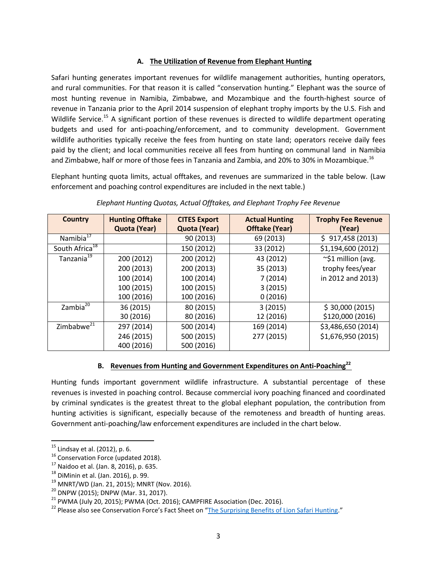#### **A. The Utilization of Revenue from Elephant Hunting**

Safari hunting generates important revenues for wildlife management authorities, hunting operators, and rural communities. For that reason it is called "conservation hunting." Elephant was the source of most hunting revenue in Namibia, Zimbabwe, and Mozambique and the fourth‐highest source of revenue in Tanzania prior to the April 2014 suspension of elephant trophy imports by the U.S. Fish and Wildlife Service.<sup>15</sup> A significant portion of these revenues is directed to wildlife department operating budgets and used for anti‐poaching/enforcement, and to community development. Government wildlife authorities typically receive the fees from hunting on state land; operators receive daily fees paid by the client; and local communities receive all fees from hunting on communal land in Namibia and Zimbabwe, half or more of those fees in Tanzania and Zambia, and 20% to 30% in Mozambique.<sup>16</sup>

Elephant hunting quota limits, actual offtakes, and revenues are summarized in the table below. (Law enforcement and poaching control expenditures are included in the next table.)

| <b>Country</b>             | <b>Hunting Offtake</b><br>Quota (Year) | <b>CITES Export</b><br>Quota (Year) | <b>Actual Hunting</b><br><b>Offtake (Year)</b> | <b>Trophy Fee Revenue</b><br>(Year) |
|----------------------------|----------------------------------------|-------------------------------------|------------------------------------------------|-------------------------------------|
| Namibia <sup>17</sup>      |                                        | 90 (2013)                           | 69 (2013)                                      | \$917,458(2013)                     |
| South Africa <sup>18</sup> |                                        | 150 (2012)                          | 33 (2012)                                      | \$1,194,600 (2012)                  |
| Tanzania <sup>19</sup>     | 200 (2012)                             | 200 (2012)                          | 43 (2012)                                      | $\sim$ \$1 million (avg.            |
|                            | 200 (2013)                             | 200 (2013)                          | 35 (2013)                                      | trophy fees/year                    |
|                            | 100 (2014)                             | 100 (2014)                          | 7(2014)                                        | in 2012 and 2013)                   |
|                            | 100 (2015)                             | 100 (2015)                          | 3(2015)                                        |                                     |
|                            | 100 (2016)                             | 100 (2016)                          | 0(2016)                                        |                                     |
| Zambia <sup>20</sup>       | 36 (2015)                              | 80 (2015)                           | 3(2015)                                        | \$30,000(2015)                      |
|                            | 30 (2016)                              | 80 (2016)                           | 12 (2016)                                      | \$120,000 (2016)                    |
| Zimbabwe <sup>21</sup>     | 297 (2014)                             | 500 (2014)                          | 169 (2014)                                     | \$3,486,650 (2014)                  |
|                            | 246 (2015)                             | 500 (2015)                          | 277 (2015)                                     | \$1,676,950 (2015)                  |
|                            | 400 (2016)                             | 500 (2016)                          |                                                |                                     |

*Elephant Hunting Quotas, Actual Offtakes, and Elephant Trophy Fee Revenue*

# **B. Revenues from Hunting and Government Expenditures on Anti‐Poaching<sup>22</sup>**

Hunting funds important government wildlife infrastructure. A substantial percentage of these revenues is invested in poaching control. Because commercial ivory poaching financed and coordinated by criminal syndicates is the greatest threat to the global elephant population, the contribution from hunting activities is significant, especially because of the remoteness and breadth of hunting areas. Government anti‐poaching/law enforcement expenditures are included in the chart below.

 $^{15}$  Lindsay et al. (2012), p. 6.

<sup>&</sup>lt;sup>16</sup> Conservation Force (updated 2018).

<sup>17</sup> Naidoo et al. (Jan. 8, 2016), p. 635.

<sup>18</sup> DiMinin et al. (Jan. 2016), p. 99.

<sup>19</sup> MNRT/WD (Jan. 21, 2015); MNRT (Nov. 2016).

<sup>&</sup>lt;sup>20</sup> DNPW (2015); DNPW (Mar. 31, 2017).

 $21$  PWMA (July 20, 2015); PWMA (Oct. 2016); CAMPFIRE Association (Dec. 2016).

<sup>&</sup>lt;sup>22</sup> Please also see Conservation Force's Fact Sheet on "The Surprising Benefits of Lion Safari Hunting."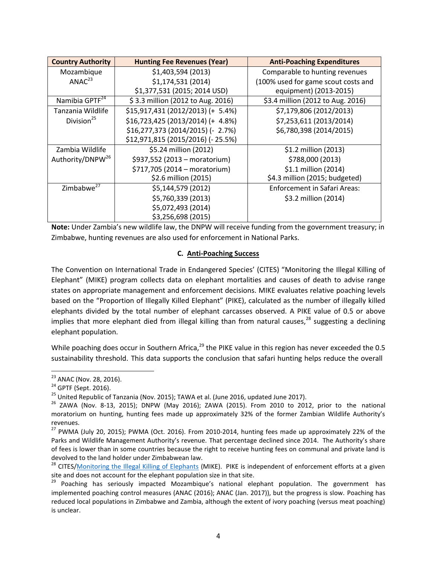| <b>Country Authority</b>     | <b>Hunting Fee Revenues (Year)</b>                 | <b>Anti-Poaching Expenditures</b>                             |
|------------------------------|----------------------------------------------------|---------------------------------------------------------------|
| Mozambique                   | \$1,403,594 (2013)                                 | Comparable to hunting revenues                                |
| ANAC <sup>23</sup>           | \$1,174,531 (2014)<br>\$1,377,531 (2015; 2014 USD) | (100% used for game scout costs and<br>equipment) (2013-2015) |
| Namibia GPTF <sup>24</sup>   | \$3.3 million (2012 to Aug. 2016)                  | \$3.4 million (2012 to Aug. 2016)                             |
| Tanzania Wildlife            | $$15,917,431(2012/2013)$ (+ 5.4%)                  | \$7,179,806 (2012/2013)                                       |
| Division <sup>25</sup>       | $$16,723,425 (2013/2014) (+ 4.8%)$                 | \$7,253,611 (2013/2014)                                       |
|                              | \$16,277,373 (2014/2015) (- 2.7%)                  | \$6,780,398 (2014/2015)                                       |
|                              | \$12,971,815 (2015/2016) (- 25.5%)                 |                                                               |
| Zambia Wildlife              | \$5.24 million (2012)                              | \$1.2 million (2013)                                          |
| Authority/DNPW <sup>26</sup> | \$937,552 (2013 - moratorium)                      | \$788,000 (2013)                                              |
|                              | \$717,705 (2014 - moratorium)                      | \$1.1 million (2014)                                          |
|                              | \$2.6 million (2015)                               | \$4.3 million (2015; budgeted)                                |
| Zimbabwe <sup>27</sup>       | \$5,144,579 (2012)                                 | <b>Enforcement in Safari Areas:</b>                           |
|                              | \$5,760,339 (2013)                                 | \$3.2 million (2014)                                          |
|                              | \$5,072,493 (2014)                                 |                                                               |
|                              | \$3,256,698 (2015)                                 |                                                               |

**Note:** Under Zambia's new wildlife law, the DNPW will receive funding from the government treasury; in Zimbabwe, hunting revenues are also used for enforcement in National Parks.

#### **C. Anti‐Poaching Success**

The Convention on International Trade in Endangered Species' (CITES) "Monitoring the Illegal Killing of Elephant" (MIKE) program collects data on elephant mortalities and causes of death to advise range states on appropriate management and enforcement decisions. MIKE evaluates relative poaching levels based on the "Proportion of Illegally Killed Elephant" (PIKE), calculated as the number of illegally killed elephants divided by the total number of elephant carcasses observed. A PIKE value of 0.5 or above implies that more elephant died from illegal killing than from natural causes, $^{28}$  suggesting a declining elephant population.

While poaching does occur in Southern Africa, $^{29}$  the PIKE value in this region has never exceeded the 0.5 sustainability threshold. This data supports the conclusion that safari hunting helps reduce the overall

<sup>&</sup>lt;sup>23</sup> ANAC (Nov. 28, 2016).

<sup>&</sup>lt;sup>24</sup> GPTF (Sept. 2016).

 $^{25}$  United Republic of Tanzania (Nov. 2015); TAWA et al. (June 2016, updated June 2017).

 $26$  ZAWA (Nov. 8-13, 2015); DNPW (May 2016); ZAWA (2015). From 2010 to 2012, prior to the national moratorium on hunting, hunting fees made up approximately 32% of the former Zambian Wildlife Authority's revenues.

<sup>&</sup>lt;sup>27</sup> PWMA (July 20, 2015); PWMA (Oct. 2016). From 2010-2014, hunting fees made up approximately 22% of the Parks and Wildlife Management Authority's revenue. That percentage declined since 2014. The Authority's share of fees is lower than in some countries because the right to receive hunting fees on communal and private land is devolved to the land holder under Zimbabwean law.

<sup>&</sup>lt;sup>28</sup> CITES/Monitoring the Illegal Killing of Elephants (MIKE). PIKE is independent of enforcement efforts at a given site and does not account for the elephant population size in that site.

<sup>&</sup>lt;sup>29</sup> Poaching has seriously impacted Mozambique's national elephant population. The government has implemented poaching control measures (ANAC (2016); ANAC (Jan. 2017)), but the progress is slow. Poaching has reduced local populations in Zimbabwe and Zambia, although the extent of ivory poaching (versus meat poaching) is unclear.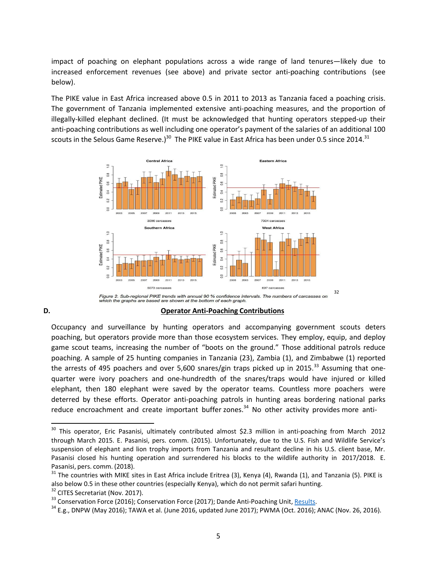impact of poaching on elephant populations across a wide range of land tenures—likely due to increased enforcement revenues (see above) and private sector anti‐poaching contributions (see below).

The PIKE value in East Africa increased above 0.5 in 2011 to 2013 as Tanzania faced a poaching crisis. The government of Tanzania implemented extensive anti‐poaching measures, and the proportion of illegally‐killed elephant declined. (It must be acknowledged that hunting operators stepped‐up their anti-poaching contributions as well including one operator's payment of the salaries of an additional 100 scouts in the Selous Game Reserve.)<sup>30</sup> The PIKE value in East Africa has been under 0.5 since 2014.<sup>31</sup>



# **D. Operator Anti‐Poaching Contributions**

Occupancy and surveillance by hunting operators and accompanying government scouts deters poaching, but operators provide more than those ecosystem services. They employ, equip, and deploy game scout teams, increasing the number of "boots on the ground." Those additional patrols reduce poaching. A sample of 25 hunting companies in Tanzania (23), Zambia (1), and Zimbabwe (1) reported the arrests of 495 poachers and over 5,600 snares/gin traps picked up in 2015.<sup>33</sup> Assuming that onequarter were ivory poachers and one‐hundredth of the snares/traps would have injured or killed elephant, then 180 elephant were saved by the operator teams. Countless more poachers were deterred by these efforts. Operator anti‐poaching patrols in hunting areas bordering national parks reduce encroachment and create important buffer zones. $34$  No other activity provides more anti-

<sup>&</sup>lt;sup>30</sup> This operator, Eric Pasanisi, ultimately contributed almost \$2.3 million in anti-poaching from March 2012 through March 2015. E. Pasanisi, pers. comm. (2015). Unfortunately, due to the U.S. Fish and Wildlife Service's suspension of elephant and lion trophy imports from Tanzania and resultant decline in his U.S. client base, Mr. Pasanisi closed his hunting operation and surrendered his blocks to the wildlife authority in 2017/2018. E. Pasanisi, pers. comm. (2018).

 $31$  The countries with MIKE sites in East Africa include Eritrea (3), Kenya (4), Rwanda (1), and Tanzania (5). PIKE is also below 0.5 in these other countries (especially Kenya), which do not permit safari hunting.

<sup>&</sup>lt;sup>32</sup> CITES Secretariat (Nov. 2017).

<sup>&</sup>lt;sup>33</sup> Conservation Force (2016); Conservation Force (2017); Dande Anti-Poaching Unit, Results.

 $34$  E.g., DNPW (May 2016); TAWA et al. (June 2016, updated June 2017); PWMA (Oct. 2016); ANAC (Nov. 26, 2016).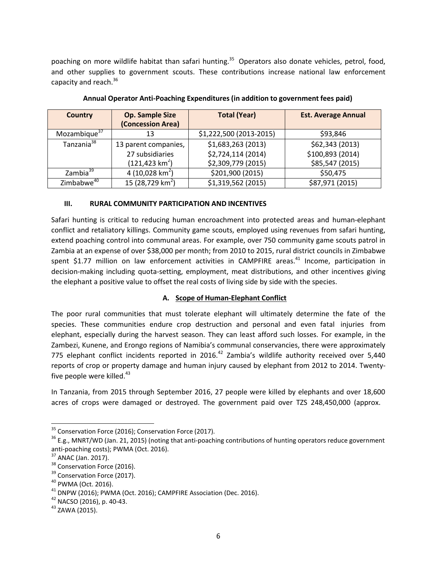poaching on more wildlife habitat than safari hunting.<sup>35</sup> Operators also donate vehicles, petrol, food, and other supplies to government scouts. These contributions increase national law enforcement capacity and reach.<sup>36</sup>

| <b>Country</b>           | <b>Op. Sample Size</b><br>(Concession Area) | <b>Total (Year)</b>     | <b>Est. Average Annual</b> |
|--------------------------|---------------------------------------------|-------------------------|----------------------------|
| Mozambique <sup>37</sup> | 13                                          | \$1,222,500 (2013-2015) | \$93,846                   |
| Tanzania <sup>38</sup>   | 13 parent companies,                        | \$1,683,263 (2013)      | \$62,343 (2013)            |
|                          | 27 subsidiaries                             | \$2,724,114 (2014)      | \$100,893 (2014)           |
|                          | $(121, 423 \text{ km}^2)$                   | \$2,309,779 (2015)      | \$85,547 (2015)            |
| Zambia <sup>39</sup>     | 4 (10,028 km <sup>2</sup> )                 | \$201,900 (2015)        | \$50,475                   |
| Zimbabwe <sup>40</sup>   | 15 (28,729 km <sup>2</sup> )                | \$1,319,562 (2015)      | \$87,971 (2015)            |

**Annual Operator Anti‐Poaching Expenditures (in addition to government fees paid)**

#### **III. RURAL COMMUNITY PARTICIPATION AND INCENTIVES**

Safari hunting is critical to reducing human encroachment into protected areas and human‐elephant conflict and retaliatory killings. Community game scouts, employed using revenues from safari hunting, extend poaching control into communal areas. For example, over 750 community game scouts patrol in Zambia at an expense of over \$38,000 per month; from 2010 to 2015, rural district councils in Zimbabwe spent \$1.77 million on law enforcement activities in CAMPFIRE areas.<sup>41</sup> Income, participation in decision-making including quota-setting, employment, meat distributions, and other incentives giving the elephant a positive value to offset the real costs of living side by side with the species.

# **A. Scope of Human‐Elephant Conflict**

The poor rural communities that must tolerate elephant will ultimately determine the fate of the species. These communities endure crop destruction and personal and even fatal injuries from elephant, especially during the harvest season. They can least afford such losses. For example, in the Zambezi, Kunene, and Erongo regions of Namibia's communal conservancies, there were approximately 775 elephant conflict incidents reported in 2016.<sup>42</sup> Zambia's wildlife authority received over 5,440 reports of crop or property damage and human injury caused by elephant from 2012 to 2014. Twenty‐ five people were killed. $43$ 

In Tanzania, from 2015 through September 2016, 27 people were killed by elephants and over 18,600 acres of crops were damaged or destroyed. The government paid over TZS 248,450,000 (approx.

<sup>&</sup>lt;sup>35</sup> Conservation Force (2016); Conservation Force (2017).

 $36$  E.g., MNRT/WD (Jan. 21, 2015) (noting that anti-poaching contributions of hunting operators reduce government anti‐poaching costs); PWMA (Oct. 2016).

 $37$  ANAC (Jan. 2017).

<sup>&</sup>lt;sup>38</sup> Conservation Force (2016).

<sup>&</sup>lt;sup>39</sup> Conservation Force (2017).

<sup>40</sup> PWMA (Oct. 2016).

<sup>&</sup>lt;sup>41</sup> DNPW (2016); PWMA (Oct. 2016); CAMPFIRE Association (Dec. 2016).

<sup>42</sup> NACSO (2016), p. 40‐43.

<sup>43</sup> ZAWA (2015).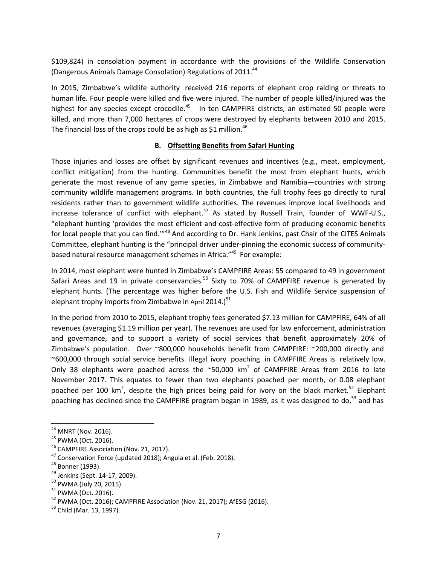\$109,824) in consolation payment in accordance with the provisions of the Wildlife Conservation (Dangerous Animals Damage Consolation) Regulations of 2011.<sup>44</sup>

In 2015, Zimbabwe's wildlife authority received 216 reports of elephant crop raiding or threats to human life. Four people were killed and five were injured. The number of people killed/injured was the highest for any species except crocodile.<sup>45</sup> In ten CAMPFIRE districts, an estimated 50 people were killed, and more than 7,000 hectares of crops were destroyed by elephants between 2010 and 2015. The financial loss of the crops could be as high as \$1 million.<sup>46</sup>

# **B. Offsetting Benefits from Safari Hunting**

Those injuries and losses are offset by significant revenues and incentives (e.g., meat, employment, conflict mitigation) from the hunting. Communities benefit the most from elephant hunts, which generate the most revenue of any game species, in Zimbabwe and Namibia—countries with strong community wildlife management programs. In both countries, the full trophy fees go directly to rural residents rather than to government wildlife authorities. The revenues improve local livelihoods and increase tolerance of conflict with elephant. $47$  As stated by Russell Train, founder of WWF-U.S., "elephant hunting 'provides the most efficient and cost‐effective form of producing economic benefits for local people that you can find."<sup>48</sup> And according to Dr. Hank Jenkins, past Chair of the CITES Animals Committee, elephant hunting is the "principal driver under‐pinning the economic success of community‐ based natural resource management schemes in Africa."<sup>49</sup> For example:

In 2014, most elephant were hunted in Zimbabwe's CAMPFIRE Areas: 55 compared to 49 in government Safari Areas and 19 in private conservancies.<sup>50</sup> Sixty to 70% of CAMPFIRE revenue is generated by elephant hunts. (The percentage was higher before the U.S. Fish and Wildlife Service suspension of elephant trophy imports from Zimbabwe in April 2014.)<sup>51</sup>

In the period from 2010 to 2015, elephant trophy fees generated \$7.13 million for CAMPFIRE, 64% of all revenues (averaging \$1.19 million per year). The revenues are used for law enforcement, administration and governance, and to support a variety of social services that benefit approximately 20% of Zimbabwe's population. Over ~800,000 households benefit from CAMPFIRE: ~200,000 directly and ~600,000 through social service benefits. Illegal ivory poaching in CAMPFIRE Areas is relatively low. Only 38 elephants were poached across the  $\sim$ 50,000 km<sup>2</sup> of CAMPFIRE Areas from 2016 to late November 2017. This equates to fewer than two elephants poached per month, or 0.08 elephant poached per 100 km<sup>2</sup>, despite the high prices being paid for ivory on the black market.<sup>52</sup> Elephant poaching has declined since the CAMPFIRE program began in 1989, as it was designed to do, $^{53}$  and has

<sup>44</sup> MNRT (Nov. 2016).

<sup>45</sup> PWMA (Oct. 2016).

<sup>&</sup>lt;sup>46</sup> CAMPFIRE Association (Nov. 21, 2017).

<sup>&</sup>lt;sup>47</sup> Conservation Force (updated 2018); Angula et al. (Feb. 2018).

<sup>48</sup> Bonner (1993).

<sup>49</sup> Jenkins (Sept. 14‐17, 2009).

<sup>50</sup> PWMA (July 20, 2015).

<sup>51</sup> PWMA (Oct. 2016).

<sup>&</sup>lt;sup>52</sup> PWMA (Oct. 2016); CAMPFIRE Association (Nov. 21, 2017); AfESG (2016).

<sup>53</sup> Child (Mar. 13, 1997).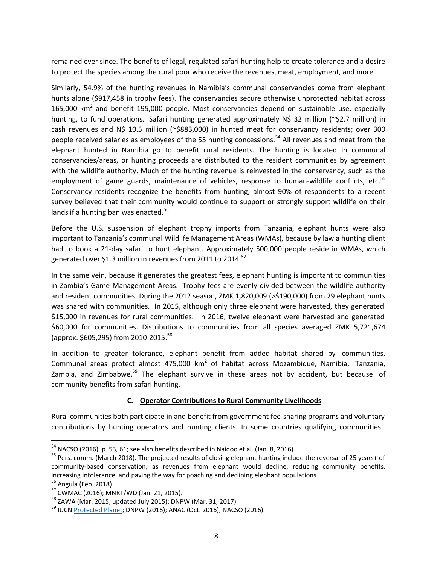remained ever since. The benefits of legal, regulated safari hunting help to create tolerance and a desire to protect the species among the rural poor who receive the revenues, meat, employment, and more.

Similarly, 54.9% of the hunting revenues in Namibia's communal conservancies come from elephant hunts alone (\$917,458 in trophy fees). The conservancies secure otherwise unprotected habitat across 165,000  $km^2$  and benefit 195,000 people. Most conservancies depend on sustainable use, especially hunting, to fund operations. Safari hunting generated approximately N\$ 32 million (~\$2.7 million) in cash revenues and N\$ 10.5 million (~\$883,000) in hunted meat for conservancy residents; over 300 people received salaries as employees of the 55 hunting concessions.<sup>54</sup> All revenues and meat from the elephant hunted in Namibia go to benefit rural residents. The hunting is located in communal conservancies/areas, or hunting proceeds are distributed to the resident communities by agreement with the wildlife authority. Much of the hunting revenue is reinvested in the conservancy, such as the employment of game guards, maintenance of vehicles, response to human-wildlife conflicts, etc.<sup>55</sup> Conservancy residents recognize the benefits from hunting; almost 90% of respondents to a recent survey believed that their community would continue to support or strongly support wildlife on their lands if a hunting ban was enacted.<sup>56</sup>

Before the U.S. suspension of elephant trophy imports from Tanzania, elephant hunts were also important to Tanzania's communal Wildlife Management Areas (WMAs), because by law a hunting client had to book a 21-day safari to hunt elephant. Approximately 500,000 people reside in WMAs, which generated over \$1.3 million in revenues from 2011 to 2014.<sup>57</sup>

In the same vein, because it generates the greatest fees, elephant hunting is important to communities in Zambia's Game Management Areas. Trophy fees are evenly divided between the wildlife authority and resident communities. During the 2012 season, ZMK 1,820,009 (>\$190,000) from 29 elephant hunts was shared with communities. In 2015, although only three elephant were harvested, they generated \$15,000 in revenues for rural communities. In 2016, twelve elephant were harvested and generated \$60,000 for communities. Distributions to communities from all species averaged ZMK 5,721,674 (approx. \$605,295) from 2010‐2015.<sup>58</sup>

In addition to greater tolerance, elephant benefit from added habitat shared by communities. Communal areas protect almost 475,000 km<sup>2</sup> of habitat across Mozambique, Namibia, Tanzania, Zambia, and Zimbabwe.<sup>59</sup> The elephant survive in these areas not by accident, but because of community benefits from safari hunting.

#### **C. Operator Contributions to Rural Community Livelihoods**

Rural communities both participate in and benefit from government fee‐sharing programs and voluntary contributions by hunting operators and hunting clients. In some countries qualifying communities

<sup>&</sup>lt;sup>54</sup> NACSO (2016), p. 53, 61; see also benefits described in Naidoo et al. (Jan. 8, 2016).

 $55$  Pers. comm. (March 2018). The projected results of closing elephant hunting include the reversal of 25 years+ of community-based conservation, as revenues from elephant would decline, reducing community benefits, increasing intolerance, and paving the way for poaching and declining elephant populations.

<sup>&</sup>lt;sup>56</sup> Angula (Feb. 2018).

<sup>57</sup> CWMAC (2016); MNRT/WD (Jan. 21, 2015).

<sup>58</sup> ZAWA (Mar. 2015, updated July 2015); DNPW (Mar. 31, 2017).

<sup>&</sup>lt;sup>59</sup> IUCN Protected Planet; DNPW (2016); ANAC (Oct. 2016); NACSO (2016).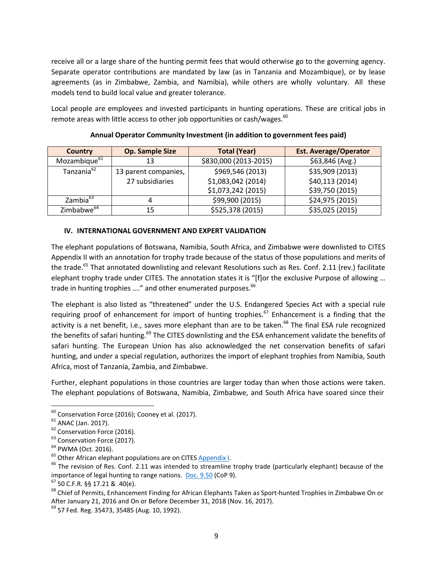receive all or a large share of the hunting permit fees that would otherwise go to the governing agency. Separate operator contributions are mandated by law (as in Tanzania and Mozambique), or by lease agreements (as in Zimbabwe, Zambia, and Namibia), while others are wholly voluntary. All these models tend to build local value and greater tolerance.

Local people are employees and invested participants in hunting operations. These are critical jobs in remote areas with little access to other job opportunities or cash/wages. $60$ 

| <b>Country</b>           | <b>Op. Sample Size</b> | <b>Total (Year)</b>   | <b>Est. Average/Operator</b> |
|--------------------------|------------------------|-----------------------|------------------------------|
| Mozambique <sup>61</sup> | 13                     | \$830,000 (2013-2015) | \$63,846 (Avg.)              |
| Tanzania <sup>62</sup>   | 13 parent companies,   | \$969,546 (2013)      | \$35,909 (2013)              |
|                          | 27 subsidiaries        | \$1,083,042 (2014)    | \$40,113 (2014)              |
|                          |                        | \$1,073,242 (2015)    | \$39,750 (2015)              |
| Zambia <sup>63</sup>     |                        | \$99,900 (2015)       | \$24,975 (2015)              |
| Zimbabwe <sup>64</sup>   |                        | \$525,378 (2015)      | \$35,025 (2015)              |

## **Annual Operator Community Investment (in addition to government fees paid)**

#### **IV. INTERNATIONAL GOVERNMENT AND EXPERT VALIDATION**

The elephant populations of Botswana, Namibia, South Africa, and Zimbabwe were downlisted to CITES Appendix II with an annotation for trophy trade because of the status of those populations and merits of the trade.<sup>65</sup> That annotated downlisting and relevant Resolutions such as Res. Conf. 2.11 (rev.) facilitate elephant trophy trade under CITES. The annotation states it is "[f]or the exclusive Purpose of allowing ... trade in hunting trophies ...." and other enumerated purposes.<sup>66</sup>

The elephant is also listed as "threatened" under the U.S. Endangered Species Act with a special rule requiring proof of enhancement for import of hunting trophies.<sup>67</sup> Enhancement is a finding that the activity is a net benefit, i.e., saves more elephant than are to be taken.<sup>68</sup> The final ESA rule recognized the benefits of safari hunting.<sup>69</sup> The CITES downlisting and the ESA enhancement validate the benefits of safari hunting. The European Union has also acknowledged the net conservation benefits of safari hunting, and under a special regulation, authorizes the import of elephant trophies from Namibia, South Africa, most of Tanzania, Zambia, and Zimbabwe.

Further, elephant populations in those countries are larger today than when those actions were taken. The elephant populations of Botswana, Namibia, Zimbabwe, and South Africa have soared since their

 $60$  Conservation Force (2016); Cooney et al. (2017).

<sup>&</sup>lt;sup>61</sup> ANAC (Jan. 2017).

<sup>&</sup>lt;sup>62</sup> Conservation Force (2016).

<sup>&</sup>lt;sup>63</sup> Conservation Force (2017).

<sup>64</sup> PWMA (Oct. 2016).

<sup>&</sup>lt;sup>65</sup> Other African elephant populations are on CITES Appendix I.

 $66$  The revision of Res. Conf. 2.11 was intended to streamline trophy trade (particularly elephant) because of the importance of legal hunting to range nations. Doc. 9.50 (CoP 9).

 $67$  50 C.F.R. §§ 17.21 & .40(e).

<sup>&</sup>lt;sup>68</sup> Chief of Permits, Enhancement Finding for African Elephants Taken as Sport-hunted Trophies in Zimbabwe On or After January 21, 2016 and On or Before December 31, 2018 (Nov. 16, 2017).

 $^{69}$  57 Fed. Reg. 35473, 35485 (Aug. 10, 1992).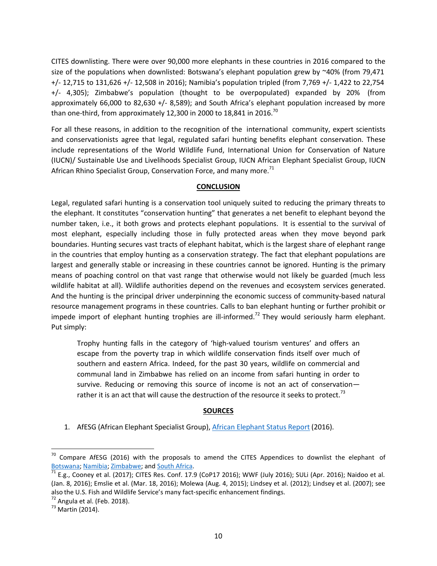CITES downlisting. There were over 90,000 more elephants in these countries in 2016 compared to the size of the populations when downlisted: Botswana's elephant population grew by  $\sim$ 40% (from 79,471 +/‐ 12,715 to 131,626 +/‐ 12,508 in 2016); Namibia's population tripled (from 7,769 +/‐ 1,422 to 22,754 +/‐ 4,305); Zimbabwe's population (thought to be overpopulated) expanded by 20% (from approximately 66,000 to 82,630 +/‐ 8,589); and South Africa's elephant population increased by more than one-third, from approximately 12,300 in 2000 to 18,841 in 2016.<sup>70</sup>

For all these reasons, in addition to the recognition of the international community, expert scientists and conservationists agree that legal, regulated safari hunting benefits elephant conservation. These include representations of the World Wildlife Fund, International Union for Conservation of Nature (IUCN)/ Sustainable Use and Livelihoods Specialist Group, IUCN African Elephant Specialist Group, IUCN African Rhino Specialist Group, Conservation Force, and many more. $71$ 

#### **CONCLUSION**

Legal, regulated safari hunting is a conservation tool uniquely suited to reducing the primary threats to the elephant. It constitutes "conservation hunting" that generates a net benefit to elephant beyond the number taken, i.e., it both grows and protects elephant populations. It is essential to the survival of most elephant, especially including those in fully protected areas when they move beyond park boundaries. Hunting secures vast tracts of elephant habitat, which is the largest share of elephant range in the countries that employ hunting as a conservation strategy. The fact that elephant populations are largest and generally stable or increasing in these countries cannot be ignored. Hunting is the primary means of poaching control on that vast range that otherwise would not likely be guarded (much less wildlife habitat at all). Wildlife authorities depend on the revenues and ecosystem services generated. And the hunting is the principal driver underpinning the economic success of community‐based natural resource management programs in these countries. Calls to ban elephant hunting or further prohibit or impede import of elephant hunting trophies are ill-informed.<sup>72</sup> They would seriously harm elephant. Put simply:

Trophy hunting falls in the category of 'high‐valued tourism ventures' and offers an escape from the poverty trap in which wildlife conservation finds itself over much of southern and eastern Africa. Indeed, for the past 30 years, wildlife on commercial and communal land in Zimbabwe has relied on an income from safari hunting in order to survive. Reducing or removing this source of income is not an act of conservation rather it is an act that will cause the destruction of the resource it seeks to protect.<sup>73</sup>

# **SOURCES**

1. AfESG (African Elephant Specialist Group), African Elephant Status Report (2016).

 $70$  Compare AfESG (2016) with the proposals to amend the CITES Appendices to downlist the elephant of Botswana; Namibia; Zimbabwe; and South Africa.

 $^{71}$  E.g., Cooney et al. (2017); CITES Res. Conf. 17.9 (CoP17 2016); WWF (July 2016); SULi (Apr. 2016); Naidoo et al. (Jan. 8, 2016); Emslie et al. (Mar. 18, 2016); Molewa (Aug. 4, 2015); Lindsey et al. (2012); Lindsey et al. (2007); see also the U.S. Fish and Wildlife Service's many fact-specific enhancement findings.

 $72$  Angula et al. (Feb. 2018).

 $73$  Martin (2014).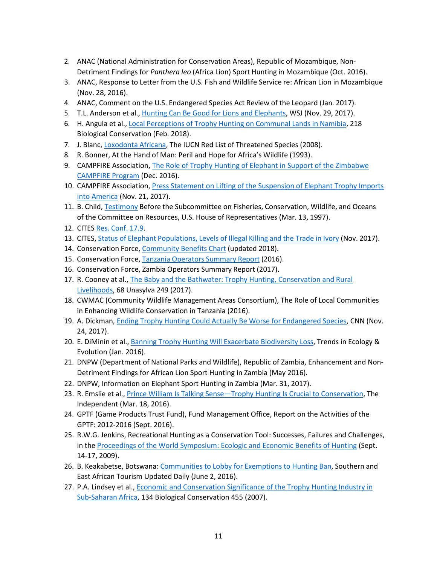- 2. ANAC (National Administration for Conservation Areas), Republic of Mozambique, Non‐ Detriment Findings for *Panthera leo* (Africa Lion) Sport Hunting in Mozambique (Oct. 2016).
- 3. ANAC, Response to Letter from the U.S. Fish and Wildlife Service re: African Lion in Mozambique (Nov. 28, 2016).
- 4. ANAC, Comment on the U.S. Endangered Species Act Review of the Leopard (Jan. 2017).
- 5. T.L. Anderson et al., *Hunting Can Be Good for Lions and Elephants*, WSJ (Nov. 29, 2017).
- 6. H. Angula et al., Local Perceptions of Trophy Hunting on Communal Lands in Namibia, 218 Biological Conservation (Feb. 2018).
- 7. J. Blanc, Loxodonta Africana, The IUCN Red List of Threatened Species (2008).
- 8. R. Bonner, At the Hand of Man: Peril and Hope for Africa's Wildlife (1993).
- 9. CAMPFIRE Association, The Role of Trophy Hunting of Elephant in Support of the Zimbabwe CAMPFIRE Program (Dec. 2016).
- 10. CAMPFIRE Association, Press Statement on Lifting of the Suspension of Elephant Trophy Imports into America (Nov. 21, 2017).
- 11. B. Child, Testimony Before the Subcommittee on Fisheries, Conservation, Wildlife, and Oceans of the Committee on Resources, U.S. House of Representatives (Mar. 13, 1997).
- 12. CITES Res. Conf. 17.9.
- 13. CITES, Status of Elephant Populations, Levels of Illegal Killing and the Trade in Ivory (Nov. 2017).
- 14. Conservation Force, Community Benefits Chart (updated 2018).
- 15. Conservation Force, Tanzania Operators Summary Report (2016).
- 16. Conservation Force, Zambia Operators Summary Report (2017).
- 17. R. Cooney at al., The Baby and the Bathwater: Trophy Hunting, Conservation and Rural Livelihoods, 68 Unasylva 249 (2017).
- 18. CWMAC (Community Wildlife Management Areas Consortium), The Role of Local Communities in Enhancing Wildlife Conservation in Tanzania (2016).
- 19. A. Dickman, **Ending Trophy Hunting Could Actually Be Worse for Endangered Species, CNN (Nov.** 24, 2017).
- 20. E. DiMinin et al., Banning Trophy Hunting Will Exacerbate Biodiversity Loss, Trends in Ecology & Evolution (Jan. 2016).
- 21. DNPW (Department of National Parks and Wildlife), Republic of Zambia, Enhancement and Non‐ Detriment Findings for African Lion Sport Hunting in Zambia (May 2016).
- 22. DNPW, Information on Elephant Sport Hunting in Zambia (Mar. 31, 2017).
- 23. R. Emslie et al., Prince William Is Talking Sense—Trophy Hunting Is Crucial to Conservation, The Independent (Mar. 18, 2016).
- 24. GPTF (Game Products Trust Fund), Fund Management Office, Report on the Activities of the GPTF: 2012‐2016 (Sept. 2016).
- 25. R.W.G. Jenkins, Recreational Hunting as a Conservation Tool: Successes, Failures and Challenges, in the Proceedings of the World Symposium: Ecologic and Economic Benefits of Hunting (Sept. 14‐17, 2009).
- 26. B. Keakabetse, Botswana: Communities to Lobby for Exemptions to Hunting Ban, Southern and East African Tourism Updated Daily (June 2, 2016).
- 27. P.A. Lindsey et al., Economic and Conservation Significance of the Trophy Hunting Industry in Sub‐Saharan Africa, 134 Biological Conservation 455 (2007).